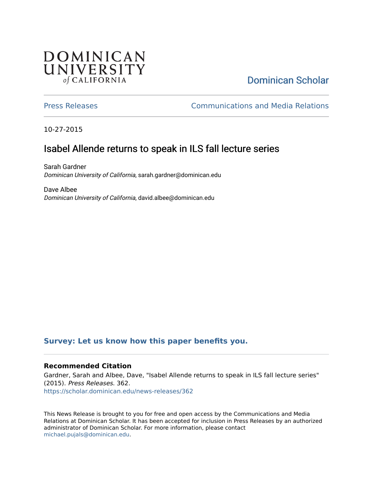## **DOMINICAN** UNIVERSITY of CALIFORNIA

# [Dominican Scholar](https://scholar.dominican.edu/)

[Press Releases](https://scholar.dominican.edu/news-releases) [Communications and Media Relations](https://scholar.dominican.edu/communications-media) 

10-27-2015

# Isabel Allende returns to speak in ILS fall lecture series

Sarah Gardner Dominican University of California, sarah.gardner@dominican.edu

Dave Albee Dominican University of California, david.albee@dominican.edu

#### **[Survey: Let us know how this paper benefits you.](https://dominican.libwizard.com/dominican-scholar-feedback)**

#### **Recommended Citation**

Gardner, Sarah and Albee, Dave, "Isabel Allende returns to speak in ILS fall lecture series" (2015). Press Releases. 362. [https://scholar.dominican.edu/news-releases/362](https://scholar.dominican.edu/news-releases/362?utm_source=scholar.dominican.edu%2Fnews-releases%2F362&utm_medium=PDF&utm_campaign=PDFCoverPages)

This News Release is brought to you for free and open access by the Communications and Media Relations at Dominican Scholar. It has been accepted for inclusion in Press Releases by an authorized administrator of Dominican Scholar. For more information, please contact [michael.pujals@dominican.edu.](mailto:michael.pujals@dominican.edu)